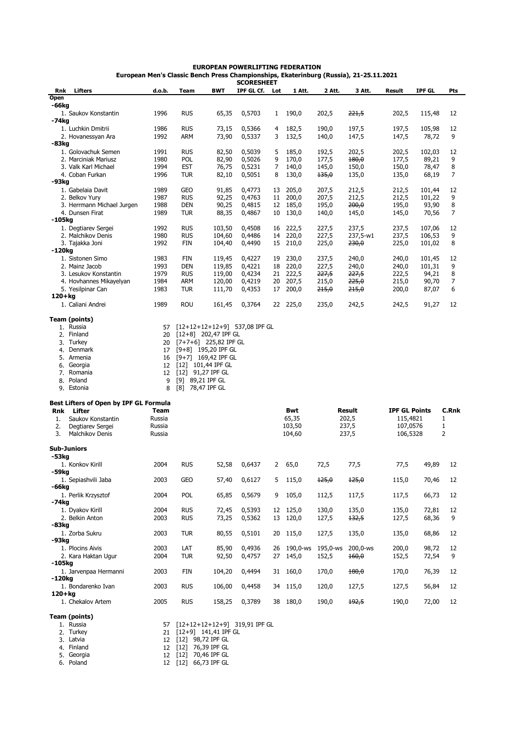## **EUROPEAN POWERLIFTING FEDERATION European Men's Classic Bench Press Championships, Ekaterinburg (Russia), 21-25.11.2021**

|                    |                                        |             |                     |                                 | <b>SCORESHEET</b> |              |             |                  |                  |                      |               |       |
|--------------------|----------------------------------------|-------------|---------------------|---------------------------------|-------------------|--------------|-------------|------------------|------------------|----------------------|---------------|-------|
| Rnk                | <b>Lifters</b>                         | d.o.b.      | Team                | <b>BWT</b>                      | IPF GL Cf.        | Lot          | 1 Att.      | 2 Att.           | 3 Att.           | Result               | <b>IPF GL</b> | Pts   |
| Open               |                                        |             |                     |                                 |                   |              |             |                  |                  |                      |               |       |
| -66kg              |                                        |             |                     |                                 |                   |              |             |                  |                  |                      |               |       |
|                    | 1. Saukov Konstantin                   | 1996        | <b>RUS</b>          | 65,35                           | 0,5703            | $\mathbf{1}$ | 190,0       | 202,5            | 221,5            | 202,5                | 115,48        | 12    |
| -74kg              |                                        |             |                     |                                 |                   |              |             |                  |                  |                      |               |       |
|                    | 1. Luchkin Dmitrii                     | 1986        | <b>RUS</b>          | 73,15                           | 0,5366            | 4            | 182,5       | 190,0            | 197,5            | 197,5                | 105,98        | 12    |
|                    | 2. Hovanessyan Ara                     | 1992        | <b>ARM</b>          | 73,90                           | 0,5337            | 3            | 132,5       | 140,0            | 147,5            | 147,5                | 78,72         | 9     |
| -83kg              |                                        |             |                     |                                 |                   |              |             |                  |                  |                      |               |       |
|                    | 1. Golovachuk Semen                    | 1991        | <b>RUS</b>          | 82,50                           | 0,5039            | 5            | 185,0       | 192,5            | 202,5            | 202,5                | 102,03        | 12    |
|                    | 2. Marciniak Mariusz                   | 1980        | POL                 | 82,90                           | 0,5026            | 9            | 170,0       | 177,5            | 180,0            | 177,5                | 89,21         | 9     |
|                    | 3. Valk Karl Michael                   | 1994        | <b>EST</b>          | 76,75                           | 0,5231            | 7            | 140,0       | 145,0            | 150,0            | 150,0                | 78,47         | 8     |
|                    | 4. Coban Furkan                        | 1996        | <b>TUR</b>          | 82,10                           | 0,5051            | 8            | 130,0       | 135,0            | 135,0            | 135,0                | 68,19         | 7     |
| -93kg              |                                        |             |                     |                                 |                   |              |             |                  |                  |                      |               |       |
|                    | 1. Gabelaia Davit                      | 1989        | <b>GEO</b>          | 91,85                           | 0,4773            | 13           | 205,0       | 207,5            | 212,5            | 212,5                | 101,44        | 12    |
|                    | 2. Belkov Yury                         | 1987        | <b>RUS</b>          | 92,25                           | 0,4763            | 11           | 200,0       | 207,5            | 212,5            | 212,5                | 101,22        | 9     |
|                    | 3. Herrmann Michael Jurgen             | 1988        | <b>DEN</b>          | 90,25                           | 0,4815            | 12           | 185,0       | 195,0            | 200,0            | 195,0                | 93,90         | 8     |
|                    | 4. Dunsen Firat                        | 1989        | <b>TUR</b>          | 88,35                           | 0,4867            | 10           | 130,0       | 140,0            | 145,0            | 145,0                | 70,56         | 7     |
| -105kg             |                                        |             |                     |                                 |                   |              |             |                  |                  |                      |               |       |
|                    | 1. Degtiarev Sergei                    | 1992        | <b>RUS</b>          | 103,50                          | 0,4508            | 16           | 222,5       | 227,5            | 237,5            | 237,5                | 107,06        | 12    |
|                    | 2. Malchikov Denis                     | 1980        | <b>RUS</b>          | 104,60                          | 0,4486            | 14           | 220,0       | 227,5            | 237,5-w1         | 237,5                | 106,53        | 9     |
|                    | 3. Tajakka Joni                        | 1992        | FIN                 | 104,40                          | 0,4490            | 15           | 210,0       | 225,0            | 230,0            | 225,0                | 101,02        | 8     |
| -120kg             |                                        |             |                     |                                 |                   |              |             |                  |                  |                      |               |       |
|                    | 1. Sistonen Simo                       | 1983        | <b>FIN</b>          | 119,45                          | 0,4227            | 19           | 230,0       | 237,5            | 240,0            | 240,0                | 101,45        | 12    |
|                    | 2. Mainz Jacob                         | 1993        | <b>DEN</b>          | 119,85                          | 0,4221            | 18           | 220,0       | 227,5            | 240,0            | 240,0                | 101,31        | 9     |
|                    | 3. Lesukov Konstantin                  | 1979        | <b>RUS</b>          | 119,00                          | 0,4234            |              | 21 222,5    | 227,5            | 227,5            | 222,5                | 94,21         | 8     |
|                    | 4. Hovhannes Mikayelyan                | 1984        | <b>ARM</b>          | 120,00                          | 0,4219            | 20           | 207,5       | 215,0            | 225,0            | 215,0                | 90,70         | 7     |
|                    | 5. Yesilpinar Can                      | 1983        | <b>TUR</b>          | 111,70                          | 0,4353            | 17           | 200,0       | <del>215,0</del> | <del>215,0</del> | 200,0                | 87,07         | 6     |
| $120 + kg$         |                                        |             |                     |                                 |                   |              |             |                  |                  |                      |               |       |
|                    | 1. Caliani Andrei                      | 1989        | <b>ROU</b>          | 161,45                          | 0,3764            | 22           | 225,0       | 235,0            | 242,5            | 242,5                | 91,27         | 12    |
|                    |                                        |             |                     |                                 |                   |              |             |                  |                  |                      |               |       |
|                    | Team (points)                          |             |                     |                                 |                   |              |             |                  |                  |                      |               |       |
|                    | 1. Russia                              | 57          |                     | $[12+12+12+12+9]$ 537,08 IPF GL |                   |              |             |                  |                  |                      |               |       |
| 2.                 | Finland                                | 20          |                     | $[12+8]$ 202,47 IPF GL          |                   |              |             |                  |                  |                      |               |       |
|                    | 3. Turkey                              | 20          |                     | $[7+7+6]$ 225,82 IPF GL         |                   |              |             |                  |                  |                      |               |       |
| 4.                 | Denmark                                | 17          |                     | $[9+8]$ 195,20 IPF GL           |                   |              |             |                  |                  |                      |               |       |
|                    | 5. Armenia                             | 16          |                     | $[9+7]$ 169,42 IPF GL           |                   |              |             |                  |                  |                      |               |       |
| 6.                 | Georgia                                | 12          |                     | $[12]$ 101,44 IPF GL            |                   |              |             |                  |                  |                      |               |       |
|                    | 7. Romania                             | 12          | $[12]$ 91,27 IPF GL |                                 |                   |              |             |                  |                  |                      |               |       |
| 8.                 | Poland                                 | 9           | [9]                 | 89,21 IPF GL                    |                   |              |             |                  |                  |                      |               |       |
|                    | 9. Estonia                             | 8           | [8]                 | 78,47 IPF GL                    |                   |              |             |                  |                  |                      |               |       |
|                    |                                        |             |                     |                                 |                   |              |             |                  |                  |                      |               |       |
|                    | Best Lifters of Open by IPF GL Formula |             |                     |                                 |                   |              |             |                  |                  |                      |               |       |
| <b>Rnk</b>         | Lifter                                 | <b>Team</b> |                     |                                 |                   |              | Bwt         |                  | Result           | <b>IPF GL Points</b> |               | C.Rnk |
| 1.                 | Saukov Konstantin                      | Russia      |                     |                                 |                   |              | 65,35       |                  | 202,5            | 115,4821             |               | 1     |
| 2.                 | Degtiarev Sergei                       | Russia      |                     |                                 |                   |              | 103,50      |                  | 237,5            | 107,0576             |               | 1     |
| 3.                 | Malchikov Denis                        | Russia      |                     |                                 |                   |              | 104,60      |                  | 237,5            | 106,5328             |               | 2     |
|                    |                                        |             |                     |                                 |                   |              |             |                  |                  |                      |               |       |
| <b>Sub-Juniors</b> |                                        |             |                     |                                 |                   |              |             |                  |                  |                      |               |       |
| -53kg              |                                        |             |                     |                                 |                   |              |             |                  |                  |                      |               |       |
|                    | 1. Konkov Kirill                       | 2004        | <b>RUS</b>          | 52,58                           | 0,6437            | 2            | 65,0        | 72,5             | 77,5             | 77,5                 | 49,89         | 12    |
| -59kg              |                                        |             |                     |                                 |                   |              |             |                  |                  |                      |               |       |
|                    | 1. Sepiashvili Jaba                    | 2003        | <b>GEO</b>          | 57,40                           | 0,6127            | 5            | 115,0       | 125,0            | 125,0            | 115,0                | 70,46         | 12    |
| -66kg              |                                        |             |                     |                                 |                   |              |             |                  |                  |                      |               |       |
|                    | 1. Perlik Krzysztof                    | 2004        | <b>POL</b>          | 65,85                           | 0,5679            | 9            | 105,0       | 112,5            | 117,5            | 117,5                | 66,73         | 12    |
| -74kg              |                                        |             |                     |                                 |                   |              |             |                  |                  |                      |               |       |
|                    | 1. Dyakov Kirill                       | 2004        | <b>RUS</b>          | 72,45                           | 0,5393            | 12           | 125,0       | 130,0            | 135,0            | 135,0                | 72,81         | 12    |
|                    | 2. Belkin Anton                        | 2003        | <b>RUS</b>          | 73,25                           | 0,5362            | 13           | 120,0       | 127,5            | 132,5            | 127,5                | 68,36         | 9     |
| -83kg              |                                        |             |                     |                                 |                   |              |             |                  |                  |                      |               |       |
|                    | 1. Zorba Sukru                         | 2003        | <b>TUR</b>          | 80,55                           | 0,5101            |              | 20 115,0    | 127,5            | 135,0            | 135,0                | 68,86         | 12    |
| -93kg              |                                        |             |                     |                                 |                   |              |             |                  |                  |                      |               |       |
|                    | 1. Plocins Aivis                       | 2003        | LAT                 | 85,90                           | 0,4936            |              | 26 190,0-ws | 195,0-ws         | 200,0-ws         | 200,0                | 98,72         | 12    |
|                    | 2. Kara Haktan Ugur                    | 2004        | TUR                 | 92,50                           | 0,4757            | 27           | 145,0       | 152,5            | 160,0            | 152,5                | 72,54         | 9     |
| -105kg             |                                        |             |                     |                                 |                   |              |             |                  |                  |                      |               |       |
|                    | 1. Jarvenpaa Hermanni                  | 2003        | FIN                 | 104,20                          | 0,4494            | 31           | 160,0       | 170,0            | 480,0            | 170,0                | 76,39         | 12    |
| -120ka             |                                        |             |                     |                                 |                   |              |             |                  |                  |                      |               |       |
|                    |                                        |             |                     |                                 |                   |              |             |                  |                  |                      |               | 12    |
|                    | 1. Bondarenko Ivan                     | 2003        | <b>RUS</b>          | 106,00                          | 0,4458            |              | 34 115,0    | 120,0            | 127,5            | 127,5                | 56,84         |       |
| 120+kg             |                                        |             |                     |                                 |                   |              |             |                  |                  |                      |               |       |
|                    | 1. Chekalov Artem                      | 2005        | <b>RUS</b>          | 158,25                          | 0,3789            |              | 38 180,0    | 190,0            | <del>192,5</del> | 190,0                | 72,00         | 12    |
|                    |                                        |             |                     |                                 |                   |              |             |                  |                  |                      |               |       |
|                    | Team (points)                          |             |                     |                                 |                   |              |             |                  |                  |                      |               |       |
|                    | 1. Russia                              | 57          |                     | $[12+12+12+12+9]$ 319,91 IPF GL |                   |              |             |                  |                  |                      |               |       |
|                    | 2. Turkey                              | 21          |                     | $[12+9]$ 141,41 IPF GL          |                   |              |             |                  |                  |                      |               |       |
|                    | 3. Latvia                              | 12          | [12] 98,72 IPF GL   |                                 |                   |              |             |                  |                  |                      |               |       |

5. Georgia and a state and the state of the state and the state and the state and the state and the state and the state and the state and the state and the state and the state and the state and the state and the state and Georgia 12 [12] 70,46 IPF GL

6. Poland 12 [12] 66,73 IPF GL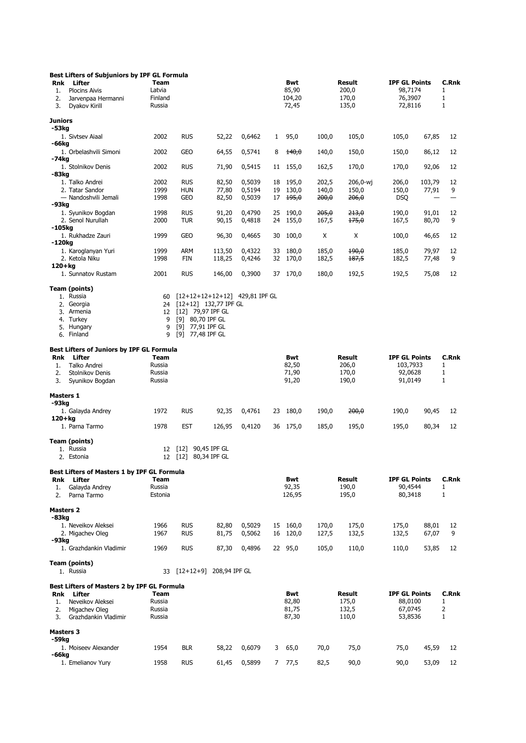|                       | Best Lifters of Subjuniors by IPF GL Formula                          |                                            |             |                                  |        |    |                                 |                  |                                   |                                                       |        |                      |
|-----------------------|-----------------------------------------------------------------------|--------------------------------------------|-------------|----------------------------------|--------|----|---------------------------------|------------------|-----------------------------------|-------------------------------------------------------|--------|----------------------|
| Rnk<br>1.<br>2.<br>3. | Lifter<br><b>Plocins Aivis</b><br>Jarvenpaa Hermanni<br>Dyakov Kirill | <b>Team</b><br>Latvia<br>Finland<br>Russia |             |                                  |        |    | Bwt<br>85,90<br>104,20<br>72,45 |                  | Result<br>200,0<br>170,0<br>135,0 | <b>IPF GL Points</b><br>98,7174<br>76,3907<br>72,8116 |        | C.Rnk<br>1<br>1<br>1 |
| <b>Juniors</b>        |                                                                       |                                            |             |                                  |        |    |                                 |                  |                                   |                                                       |        |                      |
| -53kg                 |                                                                       |                                            |             |                                  |        |    |                                 |                  |                                   |                                                       |        |                      |
| -66kg                 | 1. Sivtsev Aiaal                                                      | 2002                                       | <b>RUS</b>  | 52,22                            | 0,6462 | 1  | 95,0                            | 100,0            | 105,0                             | 105,0                                                 | 67,85  | 12                   |
|                       | 1. Orbelashvili Simoni                                                | 2002                                       | <b>GEO</b>  | 64,55                            | 0,5741 | 8  | $+40,0$                         | 140,0            | 150,0                             | 150,0                                                 | 86,12  | 12                   |
| -74kg                 | 1. Stolnikov Denis                                                    | 2002                                       | <b>RUS</b>  | 71,90                            | 0,5415 | 11 | 155,0                           | 162,5            | 170,0                             | 170,0                                                 | 92,06  | 12                   |
| -83kg                 | 1. Talko Andrei                                                       | 2002                                       | <b>RUS</b>  | 82,50                            | 0,5039 | 18 | 195,0                           | 202,5            | 206,0-wj                          | 206,0                                                 | 103,79 | 12                   |
|                       | 2. Tatar Sandor                                                       | 1999                                       | <b>HUN</b>  | 77,80                            | 0,5194 | 19 | 130,0                           | 140,0            | 150,0                             | 150,0                                                 | 77,91  | 9                    |
| -93kg                 | - Nandoshvili Jemali                                                  | 1998                                       | GEO         | 82,50                            | 0,5039 |    | $17 + 195,0$                    | <del>200,0</del> | <del>206,0</del>                  | <b>DSQ</b>                                            |        |                      |
|                       | 1. Syunikov Bogdan                                                    | 1998                                       | <b>RUS</b>  | 91,20                            | 0,4790 | 25 | 190,0                           | 205,0            | <del>213,0</del>                  | 190,0                                                 | 91,01  | 12                   |
| -105kg                | 2. Senol Nurullah                                                     | 2000                                       | <b>TUR</b>  | 90,15                            | 0,4818 | 24 | 155,0                           | 167,5            | <del>175,0</del>                  | 167,5                                                 | 80,70  | 9                    |
|                       | 1. Rukhadze Zauri                                                     | 1999                                       | GEO         | 96,30                            | 0,4665 | 30 | 100,0                           | X                | Х                                 | 100,0                                                 | 46,65  | 12                   |
| -120kg                | 1. Karoglanyan Yuri                                                   | 1999                                       | <b>ARM</b>  | 113,50                           | 0,4322 | 33 | 180,0                           | 185,0            | 190,0                             | 185,0                                                 | 79,97  | 12                   |
|                       | 2. Ketola Niku                                                        | 1998                                       | <b>FIN</b>  | 118,25                           | 0,4246 | 32 | 170,0                           | 182,5            | 187,5                             | 182,5                                                 | 77,48  | 9                    |
| 120+ka                | 1. Sunnatov Rustam                                                    | 2001                                       | <b>RUS</b>  | 146,00                           | 0,3900 | 37 | 170,0                           | 180,0            | 192,5                             | 192,5                                                 | 75,08  | 12                   |
|                       |                                                                       |                                            |             |                                  |        |    |                                 |                  |                                   |                                                       |        |                      |
|                       | Team (points)<br>1. Russia                                            | 60                                         |             | $[12+12+12+12+12]$ 429,81 IPF GL |        |    |                                 |                  |                                   |                                                       |        |                      |
|                       | 2. Georgia                                                            | 24                                         |             | $[12+12]$ 132,77 IPF GL          |        |    |                                 |                  |                                   |                                                       |        |                      |
|                       | 3. Armenia                                                            | 12                                         |             | [12] 79,97 IPF GL                |        |    |                                 |                  |                                   |                                                       |        |                      |
|                       | 4. Turkey<br>5. Hungary                                               | 9<br>9                                     | [9]         | [9] 80,70 IPF GL<br>77,91 IPF GL |        |    |                                 |                  |                                   |                                                       |        |                      |
|                       | 6. Finland                                                            | 9                                          |             | [9] 77,48 IPF GL                 |        |    |                                 |                  |                                   |                                                       |        |                      |
|                       | Best Lifters of Juniors by IPF GL Formula                             |                                            |             |                                  |        |    |                                 |                  |                                   |                                                       |        |                      |
| Rnk                   | Lifter                                                                | Team                                       |             |                                  |        |    | Bwt                             |                  | Result                            | <b>IPF GL Points</b>                                  |        | C.Rnk                |
| 1.                    | Talko Andrei                                                          | Russia                                     |             |                                  |        |    | 82,50                           |                  | 206,0                             | 103,7933                                              |        | 1                    |
| 2.<br>3.              | Stolnikov Denis<br>Syunikov Bogdan                                    | Russia<br>Russia                           |             |                                  |        |    | 71,90<br>91,20                  |                  | 170,0<br>190,0                    | 92,0628<br>91,0149                                    |        | 1<br>1               |
| Masters 1             |                                                                       |                                            |             |                                  |        |    |                                 |                  |                                   |                                                       |        |                      |
| -93kg                 |                                                                       |                                            |             |                                  |        |    |                                 |                  |                                   |                                                       |        |                      |
| 120+kg                | 1. Galayda Andrey                                                     | 1972                                       | <b>RUS</b>  | 92,35                            | 0,4761 | 23 | 180,0                           | 190,0            | 200,0                             | 190,0                                                 | 90,45  | 12                   |
|                       | 1. Parna Tarmo                                                        | 1978                                       | <b>EST</b>  | 126,95                           | 0,4120 | 36 | 175,0                           | 185,0            | 195,0                             | 195,0                                                 | 80,34  | 12                   |
|                       | Team (points)                                                         |                                            |             |                                  |        |    |                                 |                  |                                   |                                                       |        |                      |
|                       | 1. Russia                                                             | 12                                         | $[12]$      | 90,45 IPF GL                     |        |    |                                 |                  |                                   |                                                       |        |                      |
|                       | 2. Estonia                                                            | 12 <sup>2</sup>                            | $[12]$      | 80,34 IPF GL                     |        |    |                                 |                  |                                   |                                                       |        |                      |
|                       | Best Lifters of Masters 1 by IPF GL Formula                           |                                            |             |                                  |        |    |                                 |                  |                                   |                                                       |        |                      |
| Rnk<br>1.             | Lifter<br>Galayda Andrey                                              | Team<br>Russia                             |             |                                  |        |    | Bwt<br>92,35                    |                  | Result<br>190,0                   | <b>IPF GL Points</b><br>90,4544                       |        | C.Rnk<br>1           |
| 2.                    | Parna Tarmo                                                           | Estonia                                    |             |                                  |        |    | 126,95                          |                  | 195,0                             | 80,3418                                               |        | 1                    |
| <b>Masters 2</b>      |                                                                       |                                            |             |                                  |        |    |                                 |                  |                                   |                                                       |        |                      |
| -83kg                 |                                                                       |                                            |             |                                  |        |    |                                 |                  |                                   |                                                       |        |                      |
|                       | 1. Neveikov Aleksei                                                   | 1966                                       | <b>RUS</b>  | 82,80                            | 0,5029 | 15 | 160,0                           | 170,0            | 175,0                             | 175,0                                                 | 88,01  | 12                   |
| -93kg                 | 2. Migachev Oleg                                                      | 1967                                       | <b>RUS</b>  | 81,75                            | 0,5062 | 16 | 120,0                           | 127,5            | 132,5                             | 132,5                                                 | 67,07  | 9                    |
|                       | 1. Grazhdankin Vladimir                                               | 1969                                       | <b>RUS</b>  | 87,30                            | 0,4896 |    | 22 95,0                         | 105,0            | 110,0                             | 110,0                                                 | 53,85  | 12                   |
|                       | Team (points)                                                         |                                            |             |                                  |        |    |                                 |                  |                                   |                                                       |        |                      |
|                       | 1. Russia                                                             | 33                                         | $[12+12+9]$ | 208,94 IPF GL                    |        |    |                                 |                  |                                   |                                                       |        |                      |
|                       | Best Lifters of Masters 2 by IPF GL Formula                           |                                            |             |                                  |        |    |                                 |                  |                                   |                                                       |        |                      |
|                       | Rnk Lifter                                                            | Team<br>Russia                             |             |                                  |        |    | Bwt<br>82,80                    |                  | Result<br>175,0                   | <b>IPF GL Points</b><br>88,0100                       |        | C.Rnk<br>1           |
| 1.<br>2.              | Neveikov Aleksei<br>Migachev Oleg                                     | Russia                                     |             |                                  |        |    | 81,75                           |                  | 132,5                             | 67,0745                                               |        | 2                    |
| 3.                    | Grazhdankin Vladimir                                                  | Russia                                     |             |                                  |        |    | 87,30                           |                  | 110,0                             | 53,8536                                               |        | 1                    |
| <b>Masters 3</b>      |                                                                       |                                            |             |                                  |        |    |                                 |                  |                                   |                                                       |        |                      |
| -59kg                 |                                                                       |                                            |             |                                  |        |    |                                 |                  |                                   |                                                       |        |                      |
| -66kg                 | 1. Moiseev Alexander                                                  | 1954                                       | <b>BLR</b>  | 58,22                            | 0,6079 | 3  | 65,0                            | 70,0             | 75,0                              | 75,0                                                  | 45,59  | 12                   |
|                       | 1. Emelianov Yury                                                     | 1958                                       | <b>RUS</b>  | 61,45                            | 0,5899 |    | 7, 77, 5                        | 82,5             | 90,0                              | 90,0                                                  | 53,09  | 12                   |